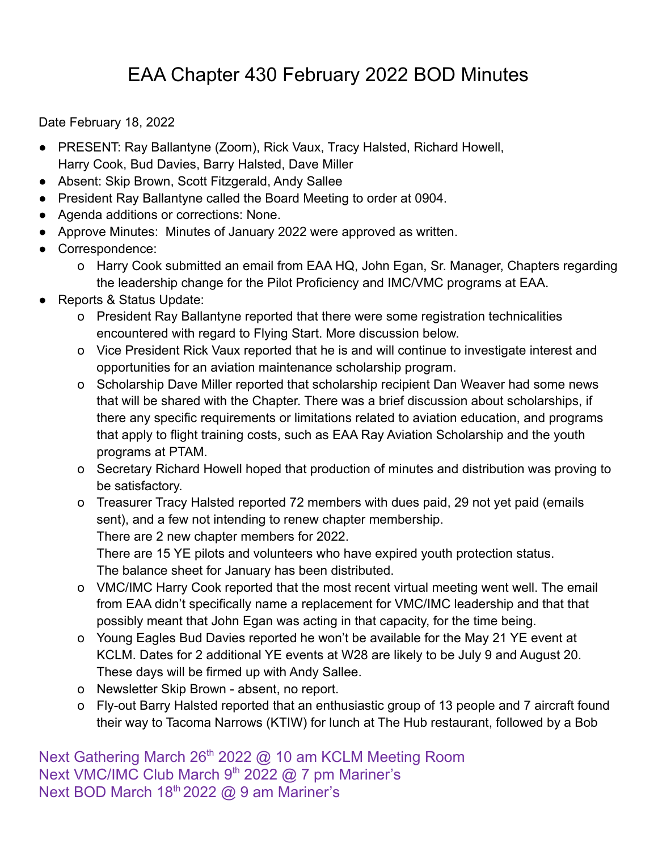## EAA Chapter 430 February 2022 BOD Minutes

Date February 18, 2022

- PRESENT: Ray Ballantyne (Zoom), Rick Vaux, Tracy Halsted, Richard Howell, Harry Cook, Bud Davies, Barry Halsted, Dave Miller
- Absent: Skip Brown, Scott Fitzgerald, Andy Sallee
- President Ray Ballantyne called the Board Meeting to order at 0904.
- Agenda additions or corrections: None.
- Approve Minutes: Minutes of January 2022 were approved as written.
- Correspondence:
	- o Harry Cook submitted an email from EAA HQ, John Egan, Sr. Manager, Chapters regarding the leadership change for the Pilot Proficiency and IMC/VMC programs at EAA.
- Reports & Status Update:
	- o President Ray Ballantyne reported that there were some registration technicalities encountered with regard to Flying Start. More discussion below.
	- o Vice President Rick Vaux reported that he is and will continue to investigate interest and opportunities for an aviation maintenance scholarship program.
	- o Scholarship Dave Miller reported that scholarship recipient Dan Weaver had some news that will be shared with the Chapter. There was a brief discussion about scholarships, if there any specific requirements or limitations related to aviation education, and programs that apply to flight training costs, such as EAA Ray Aviation Scholarship and the youth programs at PTAM.
	- o Secretary Richard Howell hoped that production of minutes and distribution was proving to be satisfactory.
	- o Treasurer Tracy Halsted reported 72 members with dues paid, 29 not yet paid (emails sent), and a few not intending to renew chapter membership. There are 2 new chapter members for 2022.

There are 15 YE pilots and volunteers who have expired youth protection status. The balance sheet for January has been distributed.

- o VMC/IMC Harry Cook reported that the most recent virtual meeting went well. The email from EAA didn't specifically name a replacement for VMC/IMC leadership and that that possibly meant that John Egan was acting in that capacity, for the time being.
- o Young Eagles Bud Davies reported he won't be available for the May 21 YE event at KCLM. Dates for 2 additional YE events at W28 are likely to be July 9 and August 20. These days will be firmed up with Andy Sallee.
- o Newsletter Skip Brown absent, no report.
- o Fly-out Barry Halsted reported that an enthusiastic group of 13 people and 7 aircraft found their way to Tacoma Narrows (KTIW) for lunch at The Hub restaurant, followed by a Bob

Next Gathering March 26<sup>th</sup> 2022 @ 10 am KCLM Meeting Room Next VMC/IMC Club March 9<sup>th</sup> 2022 @ 7 pm Mariner's Next BOD March 18<sup>th</sup> 2022 @ 9 am Mariner's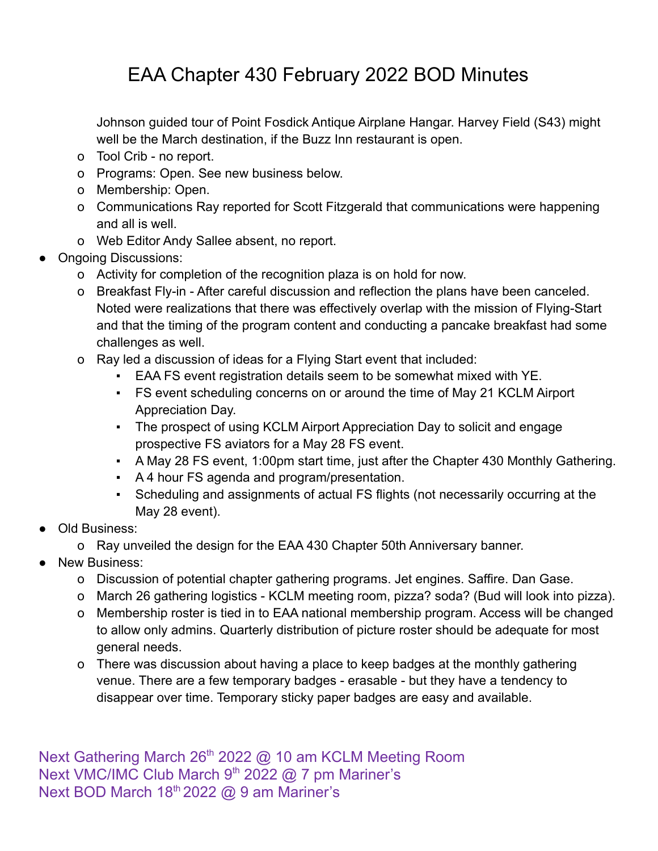## EAA Chapter 430 February 2022 BOD Minutes

Johnson guided tour of Point Fosdick Antique Airplane Hangar. Harvey Field (S43) might well be the March destination, if the Buzz Inn restaurant is open.

- o Tool Crib no report.
- o Programs: Open. See new business below.
- o Membership: Open.
- o Communications Ray reported for Scott Fitzgerald that communications were happening and all is well.
- o Web Editor Andy Sallee absent, no report.
- Ongoing Discussions:
	- o Activity for completion of the recognition plaza is on hold for now.
	- o Breakfast Fly-in After careful discussion and reflection the plans have been canceled. Noted were realizations that there was effectively overlap with the mission of Flying-Start and that the timing of the program content and conducting a pancake breakfast had some challenges as well.
	- o Ray led a discussion of ideas for a Flying Start event that included:
		- EAA FS event registration details seem to be somewhat mixed with YE.
		- FS event scheduling concerns on or around the time of May 21 KCLM Airport Appreciation Day.
		- The prospect of using KCLM Airport Appreciation Day to solicit and engage prospective FS aviators for a May 28 FS event.
		- A May 28 FS event, 1:00pm start time, just after the Chapter 430 Monthly Gathering.
		- A 4 hour FS agenda and program/presentation.
		- Scheduling and assignments of actual FS flights (not necessarily occurring at the May 28 event).
- Old Business:
	- o Ray unveiled the design for the EAA 430 Chapter 50th Anniversary banner.
- New Business:
	- o Discussion of potential chapter gathering programs. Jet engines. Saffire. Dan Gase.
	- o March 26 gathering logistics KCLM meeting room, pizza? soda? (Bud will look into pizza).
	- o Membership roster is tied in to EAA national membership program. Access will be changed to allow only admins. Quarterly distribution of picture roster should be adequate for most general needs.
	- o There was discussion about having a place to keep badges at the monthly gathering venue. There are a few temporary badges - erasable - but they have a tendency to disappear over time. Temporary sticky paper badges are easy and available.

Next Gathering March 26<sup>th</sup> 2022 @ 10 am KCLM Meeting Room Next VMC/IMC Club March 9<sup>th</sup> 2022 @ 7 pm Mariner's Next BOD March 18<sup>th</sup> 2022 @ 9 am Mariner's